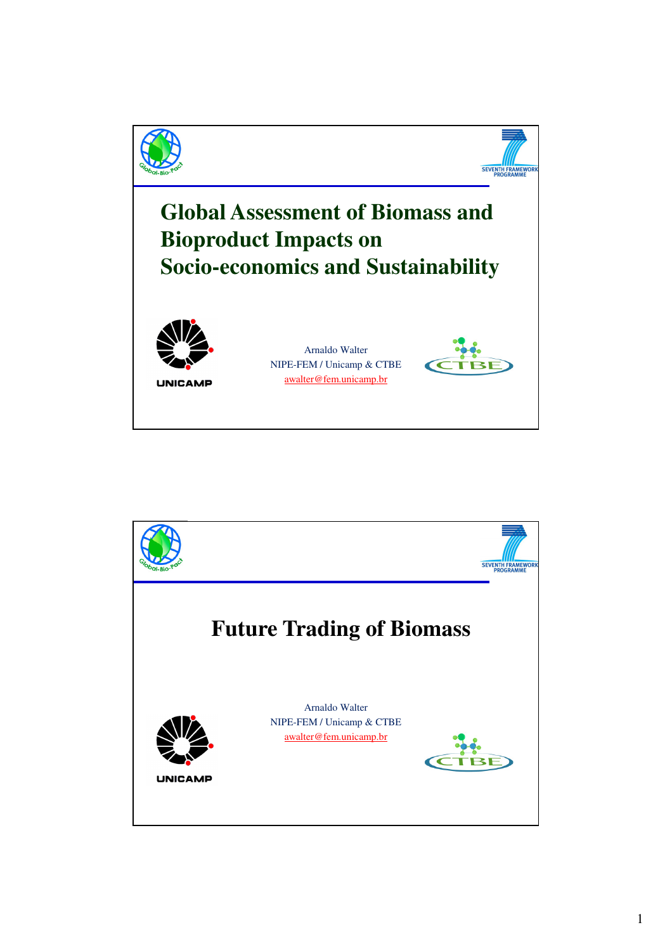

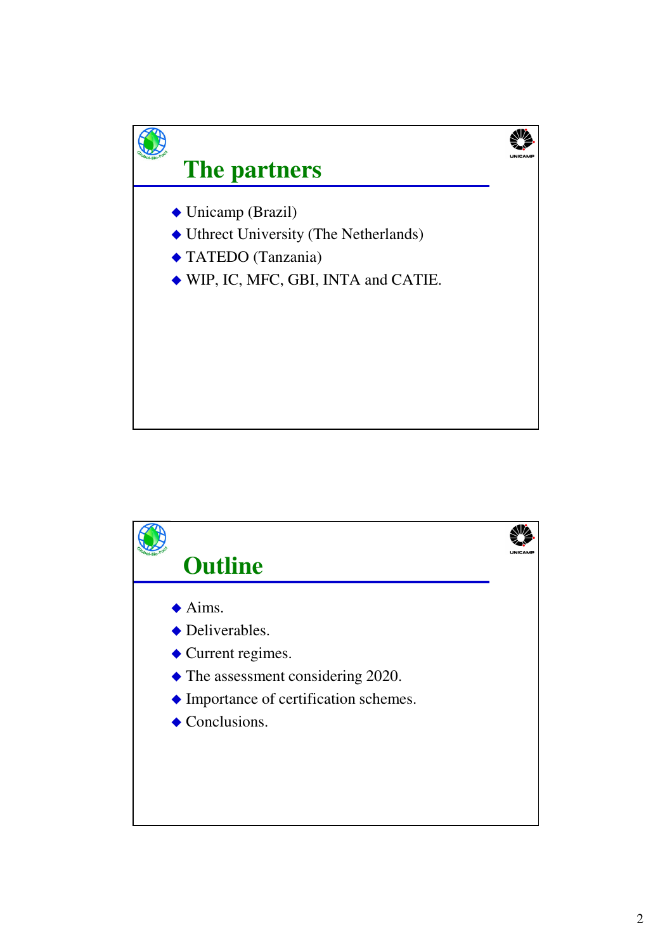

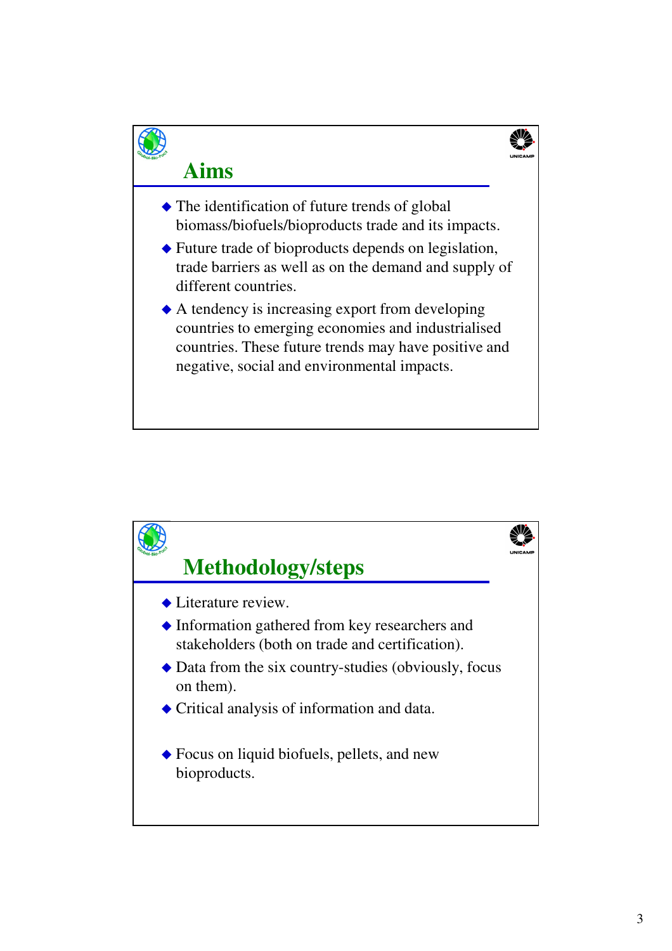

## **Aims**

- The identification of future trends of global biomass/biofuels/bioproducts trade and its impacts.
- Future trade of bioproducts depends on legislation, trade barriers as well as on the demand and supply of different countries.
- A tendency is increasing export from developing countries to emerging economies and industrialised countries. These future trends may have positive and negative, social and environmental impacts.

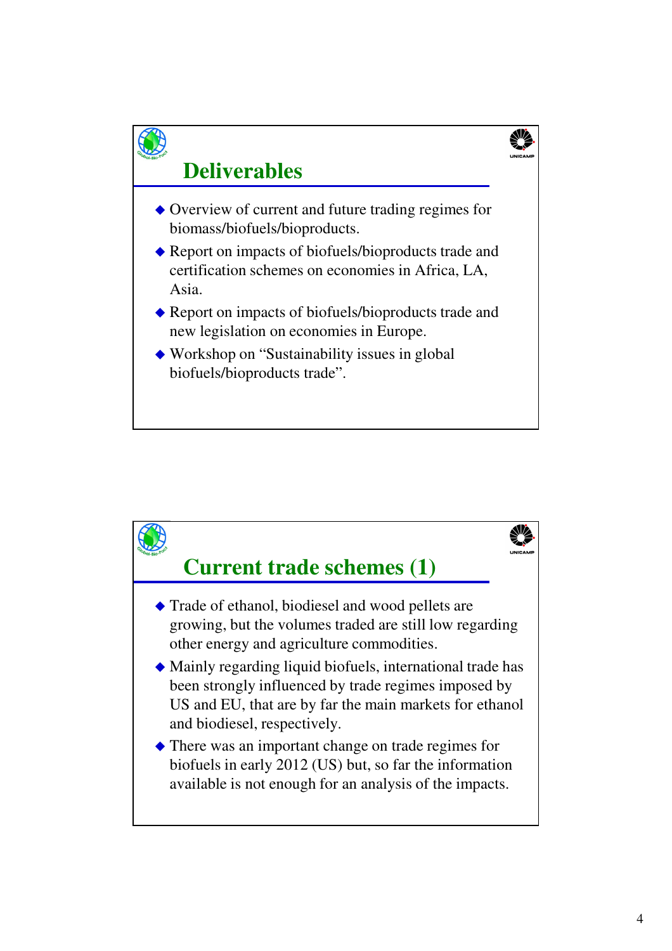

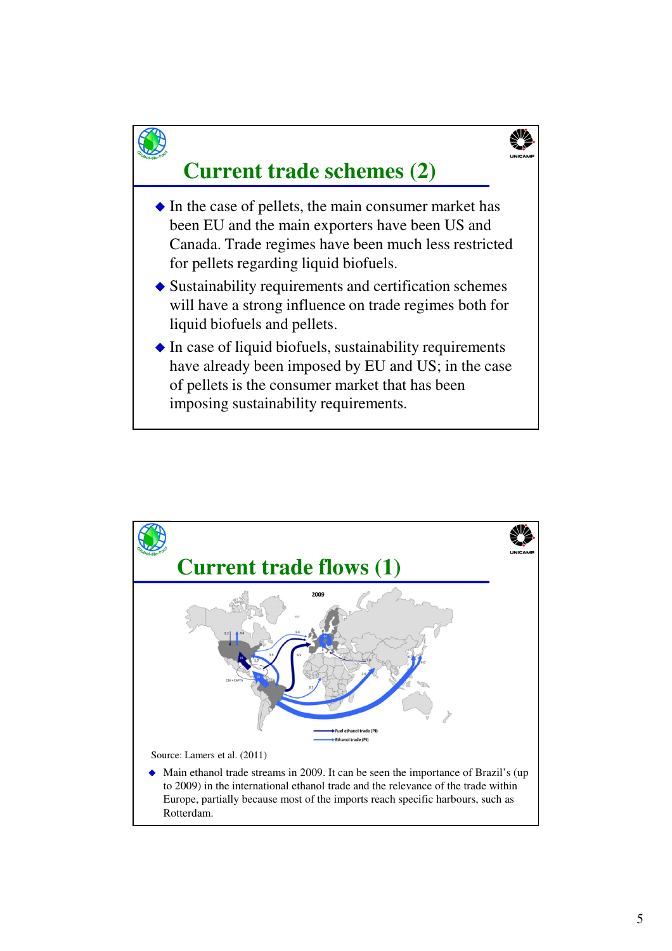

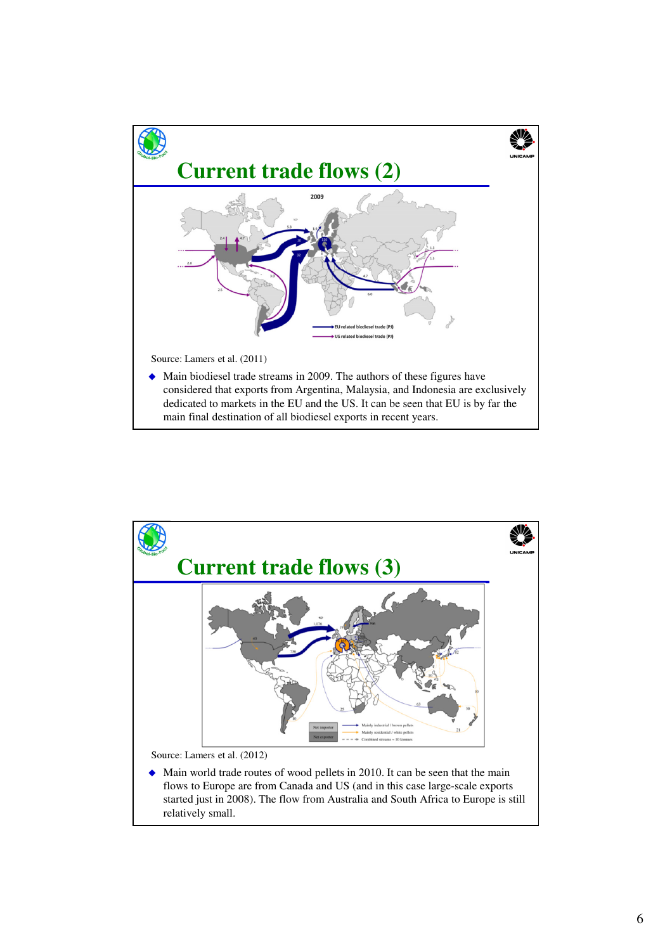

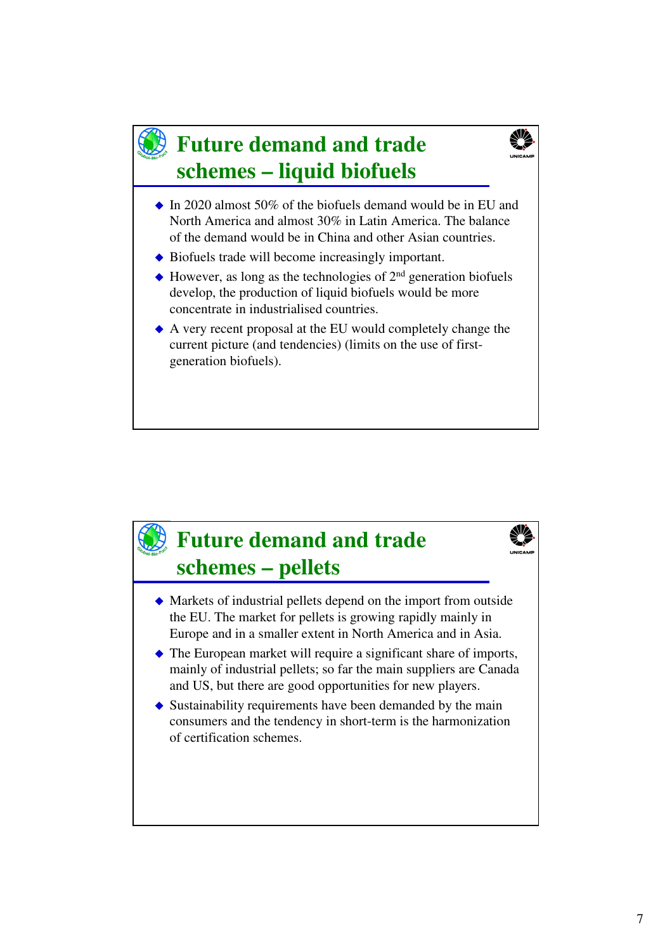### **Future demand and trade schemes – liquid biofuels**



- $\bullet$  In 2020 almost 50% of the biofuels demand would be in EU and North America and almost 30% in Latin America. The balance of the demand would be in China and other Asian countries.
- Biofuels trade will become increasingly important.
- $\triangle$  However, as long as the technologies of  $2<sup>nd</sup>$  generation biofuels develop, the production of liquid biofuels would be more concentrate in industrialised countries.
- A very recent proposal at the EU would completely change the current picture (and tendencies) (limits on the use of firstgeneration biofuels).

## **Future demand and trade schemes – pellets**

- Markets of industrial pellets depend on the import from outside the EU. The market for pellets is growing rapidly mainly in Europe and in a smaller extent in North America and in Asia.
- The European market will require a significant share of imports, mainly of industrial pellets; so far the main suppliers are Canada and US, but there are good opportunities for new players.
- $\bullet$  Sustainability requirements have been demanded by the main consumers and the tendency in short-term is the harmonization of certification schemes.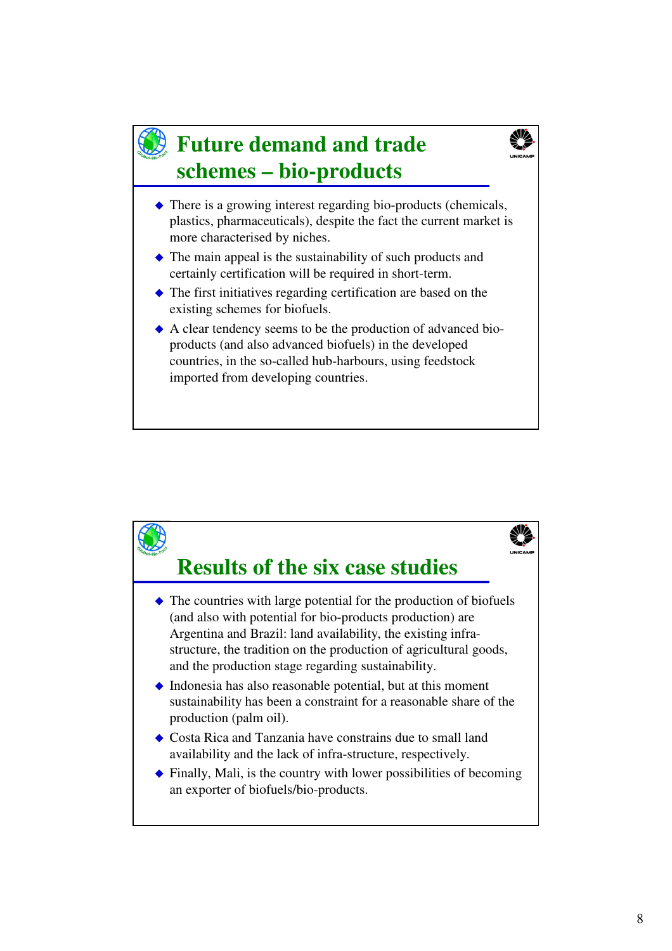#### **Future demand and trade schemes – bio-products**



- $\triangle$  There is a growing interest regarding bio-products (chemicals, plastics, pharmaceuticals), despite the fact the current market is more characterised by niches.
- The main appeal is the sustainability of such products and certainly certification will be required in short-term.
- The first initiatives regarding certification are based on the existing schemes for biofuels.
- A clear tendency seems to be the production of advanced bioproducts (and also advanced biofuels) in the developed countries, in the so-called hub-harbours, using feedstock imported from developing countries.

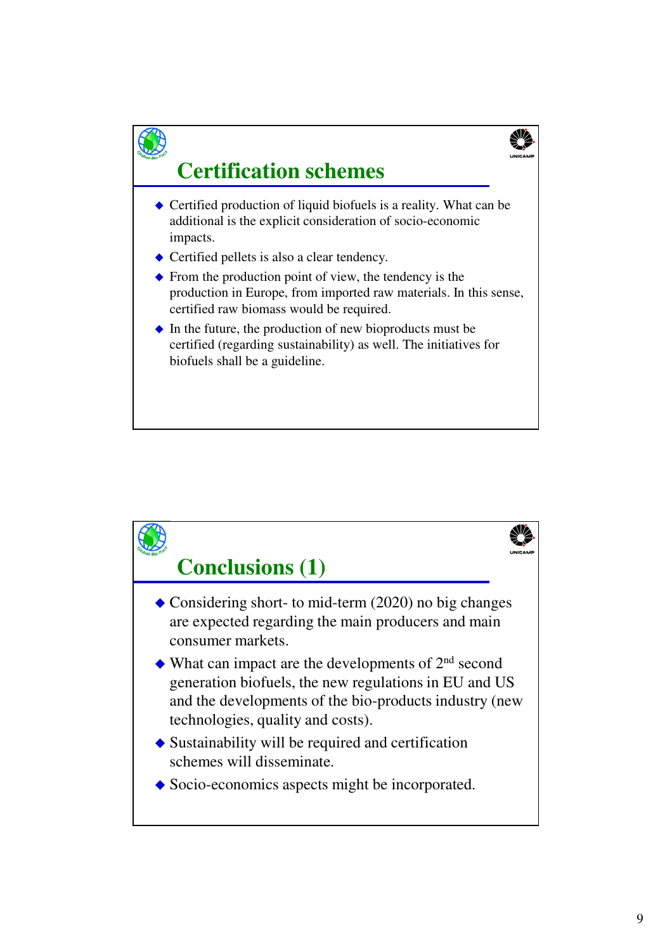

# **Certification schemes**

- $\triangle$  Certified production of liquid biofuels is a reality. What can be additional is the explicit consideration of socio-economic impacts.
- Certified pellets is also a clear tendency.
- $\blacklozenge$  From the production point of view, the tendency is the production in Europe, from imported raw materials. In this sense, certified raw biomass would be required.
- $\bullet$  In the future, the production of new bioproducts must be certified (regarding sustainability) as well. The initiatives for biofuels shall be a guideline.